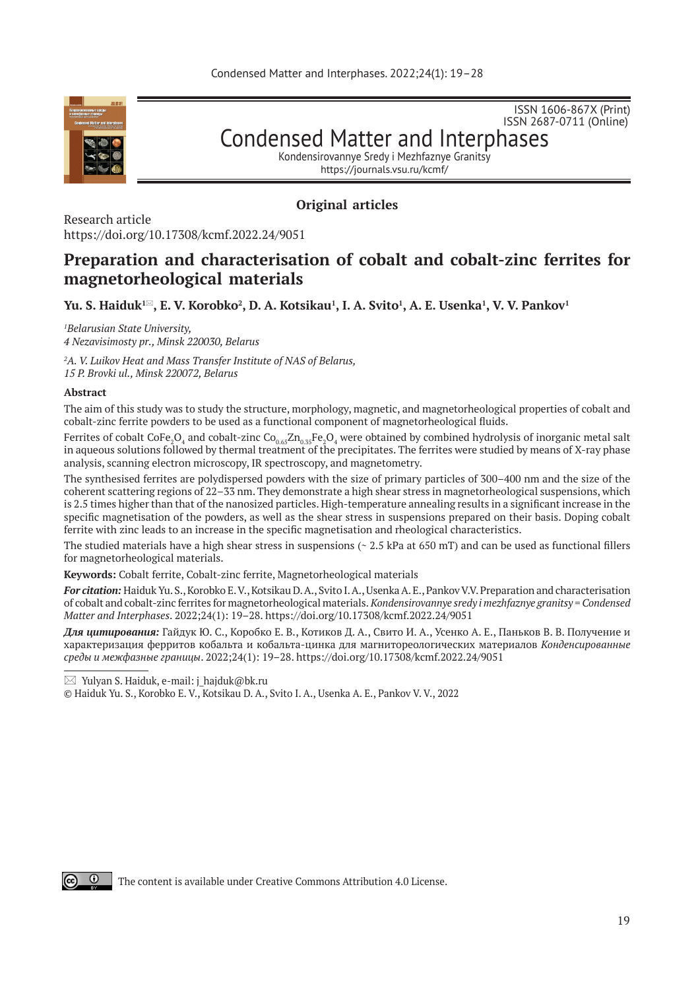

ISSN 2687-0711 (Online) Condensed Matter and Interphases

ISSN 1606-867Х (Print)

Kondensirovannye Sredy i Mezhfaznye Granitsy https://journals.vsu.ru/kcmf/

# **Original articles**

Research article https://doi.org/10.17308/kcmf.2022.24/9051

# **Preparation and characterisation of cobalt and cobalt-zinc ferrites for magnetorheological materials**

 $\mathbf{Yu.~S.~Haiduk^{1\boxtimes}}, \mathbf{E.~V.~Korobko^2}, \mathbf{D.~A.~Kotsikau^1, I.~A.~Svito^1, A.~E.~Usenka^1, V.~V.~Pankov^1}$ 

*1 Belarusian State University,* 

*4 Nezavisimosty pr., Minsk 220030, Belarus* 

*2 A. V. Luikov Heat and Mass Transfer Institute of NAS of Belarus, 15 P. Brovki ul., Minsk 220072, Belarus* 

## **Abstract**

The aim of this study was to study the structure, morphology, magnetic, and magnetorheological properties of cobalt and cobalt-zinc ferrite powders to be used as a functional component of magnetorheological fluids.

Ferrites of cobalt CoFe $_2$ O $_4$  and cobalt-zinc Co $_{0.65}$ Zn $_{0.35}$ Fe $_2$ O $_4$  were obtained by combined hydrolysis of inorganic metal salt in aqueous solutions followed by thermal treatment of the precipitates. The ferrites were studied by means of X-ray phase analysis, scanning electron microscopy, IR spectroscopy, and magnetometry.

The synthesised ferrites are polydispersed powders with the size of primary particles of 300–400 nm and the size of the coherent scattering regions of 22–33 nm. They demonstrate a high shear stress in magnetorheological suspensions, which is 2.5 times higher than that of the nanosized particles. High-temperature annealing results in a significant increase in the specific magnetisation of the powders, as well as the shear stress in suspensions prepared on their basis. Doping cobalt ferrite with zinc leads to an increase in the specific magnetisation and rheological characteristics.

The studied materials have a high shear stress in suspensions ( $\sim 2.5$  kPa at 650 mT) and can be used as functional fillers for magnetorheological materials.

**Keywords:** Cobalt ferrite, Cobalt-zinc ferrite, Magnetorheological materials

*For citation:* Haiduk Yu. S., Korobko E. V., Kotsikau D. A., Svito I. A., Usenka A. E., Pankov V.V. Preparation and characterisation of cobalt and cobalt-zinc ferrites for magnetorheological materials. *Kondensirovannye sredy i mezhfaznye granitsy = Condensed Matter and Interphases*. 2022;24(1): 19–28. https://doi.org/10.17308/kcmf.2022.24/9051

*Для цитирования:* Гайдук Ю. С., Коробко Е. В., Котиков Д. А., Свито И. А., Усенко А. Е., Паньков В. В. Получение и характеризация ферритов кобальта и кобальта-цинка для магнитореологических материалов *Конденсированные среды и межфазные границы*. 2022;24(1): 19–28. https://doi.org/10.17308/kcmf.2022.24/9051

 $\boxtimes$  Yulyan S. Haiduk, e-mail: j\_hajduk@bk.ru

© Haiduk Yu. S., Korobko E. V., Kotsikau D. A., Svito I. A., Usenka A. E., Pankov V. V., 2022



The content is available under Creative Commons Attribution 4.0 License.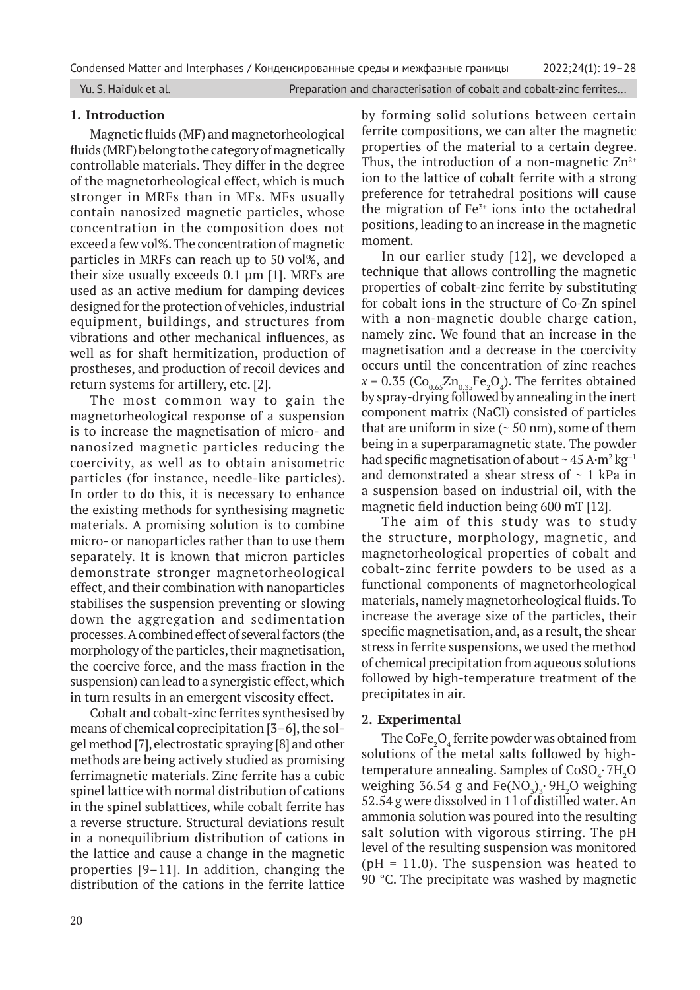Yu. S. Haiduk et al. **Preparation and characterisation of cobalt and cobalt-zinc ferrites...** 

# **1. Introduction**

Magnetic fluids (MF) and magnetorheological fluids (MRF) belong to the category of magnetically controllable materials. They differ in the degree of the magnetorheological effect, which is much stronger in MRFs than in MFs. MFs usually contain nanosized magnetic particles, whose concentration in the composition does not exceed a few vol%. The concentration of magnetic particles in MRFs can reach up to 50 vol%, and their size usually exceeds 0.1 μm [1]. MRFs are used as an active medium for damping devices designed for the protection of vehicles, industrial equipment, buildings, and structures from vibrations and other mechanical influences, as well as for shaft hermitization, production of prostheses, and production of recoil devices and return systems for artillery, etc. [2].

The most common way to gain the magnetorheological response of a suspension is to increase the magnetisation of micro- and nanosized magnetic particles reducing the coercivity, as well as to obtain anisometric particles (for instance, needle-like particles). In order to do this, it is necessary to enhance the existing methods for synthesising magnetic materials. A promising solution is to combine micro- or nanoparticles rather than to use them separately. It is known that micron particles demonstrate stronger magnetorheological effect, and their combination with nanoparticles stabilises the suspension preventing or slowing down the aggregation and sedimentation processes. A combined effect of several factors (the morphology of the particles, their magnetisation, the coercive force, and the mass fraction in the suspension) can lead to a synergistic effect, which in turn results in an emergent viscosity effect.

Cobalt and cobalt-zinc ferrites synthesised by means of chemical coprecipitation [3–6], the solgel method [7], electrostatic spraying [8] and other methods are being actively studied as promising ferrimagnetic materials. Zinc ferrite has a cubic spinel lattice with normal distribution of cations in the spinel sublattices, while cobalt ferrite has a reverse structure. Structural deviations result in a nonequilibrium distribution of cations in the lattice and cause a change in the magnetic properties [9–11]. In addition, changing the distribution of the cations in the ferrite lattice

by forming solid solutions between certain ferrite compositions, we can alter the magnetic properties of the material to a certain degree. Thus, the introduction of a non-magnetic  $Zn^{2+}$ ion to the lattice of cobalt ferrite with a strong preference for tetrahedral positions will cause the migration of  $Fe<sup>3+</sup>$  ions into the octahedral positions, leading to an increase in the magnetic moment.

In our earlier study [12], we developed a technique that allows controlling the magnetic properties of cobalt-zinc ferrite by substituting for cobalt ions in the structure of Co-Zn spinel with a non-magnetic double charge cation, namely zinc. We found that an increase in the magnetisation and a decrease in the coercivity occurs until the concentration of zinc reaches  $x = 0.35$  ( $Co<sub>0.65</sub>Zn<sub>0.35</sub>Fe<sub>2</sub>O<sub>4</sub>$ ). The ferrites obtained by spray-drying followed by annealing in the inert component matrix (NaCl) consisted of particles that are uniform in size  $($   $\sim$  50 nm), some of them being in a superparamagnetic state. The powder had specific magnetisation of about  $\sim$  45 A·m<sup>2</sup> kg<sup>-1</sup> and demonstrated a shear stress of  $\sim$  1 kPa in a suspension based on industrial oil, with the magnetic field induction being 600 mT [12].

The aim of this study was to study the structure, morphology, magnetic, and magnetorheological properties of cobalt and cobalt-zinc ferrite powders to be used as a functional components of magnetorheological materials, namely magnetorheological fluids. To increase the average size of the particles, their specific magnetisation, and, as a result, the shear stress in ferrite suspensions, we used the method of chemical precipitation from aqueous solutions followed by high-temperature treatment of the precipitates in air.

## **2. Experimental**

The  $\mathrm{CoFe}_{2}\mathrm{O}_{4}$  ferrite powder was obtained from solutions of the metal salts followed by hightemperature annealing. Samples of  $CoSO_4$ <sup>-</sup>  $7H_2O$ weighing 36.54 g and  $Fe(\text{NO}_3)_3$  $\cdot$   $9\text{H}_2\text{O}$  weighing 52.54 g were dissolved in 1 l of distilled water. An ammonia solution was poured into the resulting salt solution with vigorous stirring. The pH level of the resulting suspension was monitored ( $pH = 11.0$ ). The suspension was heated to 90 °C. The precipitate was washed by magnetic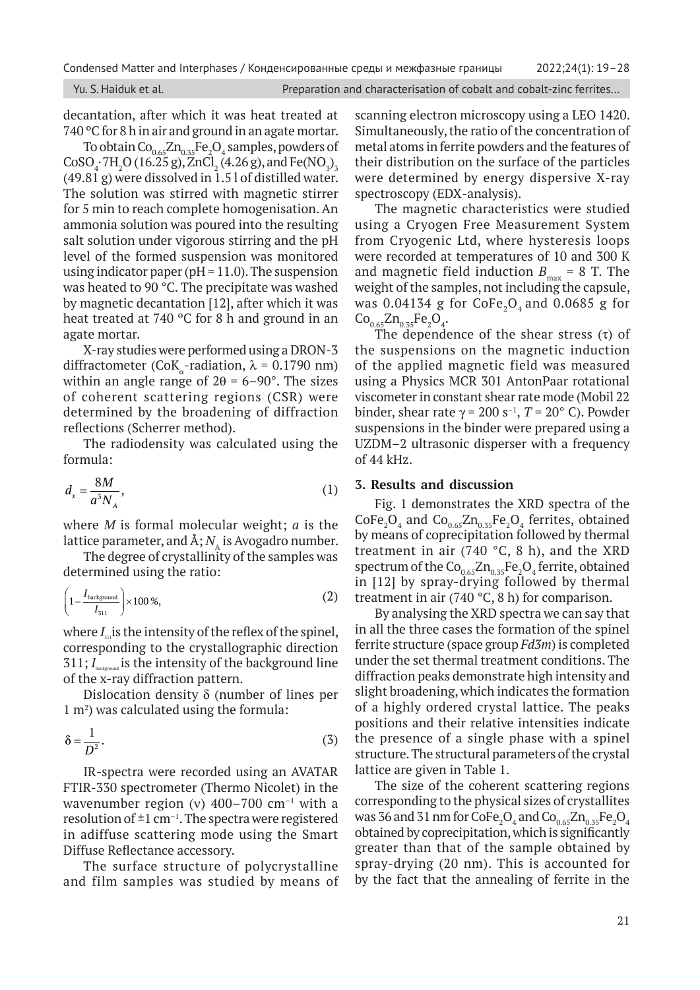decantation, after which it was heat treated at 740 °C for 8 h in air and ground in an agate mortar.

To obtain  $\mathrm{Co}_{0.65}\mathrm{Zn}_{0.35}\mathrm{Fe}_2\mathrm{O}_4$  samples, powders of  $CoSO_4 \cdot 7H_2O (16.25 \text{ g}), ZnCl_2 (4.26 \text{ g}),$  and  $Fe NO_3)_3$ (49.81 g) were dissolved in 1.5 l of distilled water. The solution was stirred with magnetic stirrer for 5 min to reach complete homogenisation. An ammonia solution was poured into the resulting salt solution under vigorous stirring and the pH level of the formed suspension was monitored using indicator paper ( $pH = 11.0$ ). The suspension was heated to 90 °C. The precipitate was washed by magnetic decantation [12], after which it was heat treated at 740 ºС for 8 h and ground in an agate mortar.

X-ray studies were performed using a DRON‑3 diffractometer (CoK -radiation,  $\lambda = 0.1790$  nm) within an angle range of  $2\theta = 6 - 90^{\circ}$ . The sizes of coherent scattering regions (CSR) were determined by the broadening of diffraction reflections (Scherrer method).

The radiodensity was calculated using the formula:

$$
d_x = \frac{8M}{a^3 N_A},\tag{1}
$$

where *M* is formal molecular weight; *a* is the lattice parameter, and  $\mathbf{A}; N_A$  is Avogadro number.

The degree of crystallinity of the samples was determined using the ratio:

$$
\left(1 - \frac{I_{\text{background}}}{I_{\text{S11}}}\right) \times 100\,\%,\tag{2}
$$

where  $I_{\omega}$  is the intensity of the reflex of the spinel, corresponding to the crystallographic direction 311; *I*<sub>background</sub> is the intensity of the background line of the x-ray diffraction pattern.

Dislocation density  $\delta$  (number of lines per 1 m2 ) was calculated using the formula:

$$
\delta = \frac{1}{D^2}.\tag{3}
$$

IR*-*spectra were recorded using an AVATAR FTIR-330 spectrometer (Thermo Nicolet) in the wavenumber region (v)  $400-700$  cm<sup>-1</sup> with a resolution of  $\pm 1$  cm<sup>-1</sup>. The spectra were registered in adiffuse scattering mode using the Smart Diffuse Reflectance accessory.

The surface structure of polycrystalline and film samples was studied by means of scanning electron microscopy using a LEO 1420. Simultaneously, the ratio of the concentration of metal atoms in ferrite powders and the features of their distribution on the surface of the particles were determined by energy dispersive X-ray spectroscopy (EDX*-*analysis).

The magnetic characteristics were studied using a Cryogen Free Measurement System from Cryogenic Ltd, where hysteresis loops were recorded at temperatures of 10 and 300 K and magnetic field induction  $B_{\text{max}} = 8$  T. The weight of the samples, not including the capsule, was  $0.04134$  g for CoFe<sub>2</sub>O<sub>4</sub> and  $0.0685$  g for  $Co_{0.65}Zn_{0.35}Fe_2O_4.$ 

The dependence of the shear stress  $(\tau)$  of the suspensions on the magnetic induction of the applied magnetic field was measured using a Physics MCR 301 AntonPaar rotational viscometer in constant shear rate mode (Mobil 22 binder, shear rate  $\gamma$  = 200 s<sup>-1</sup>, *T* = 20<sup>°</sup> C). Powder suspensions in the binder were prepared using a UZDM–2 ultrasonic disperser with a frequency of 44 kHz.

# **3. Results and discussion**

Fig. 1 demonstrates the XRD spectra of the  $\text{CoFe}_2\text{O}_4$  and  $\text{Co}_{0.65}\text{Zn}_{0.35}\text{Fe}_2\text{O}_4$  ferrites, obtained by means of coprecipitation followed by thermal treatment in air (740 °С, 8 h), and the XRD spectrum of the  $\text{Co}_{0.65}\text{Zn}_{0.35}\text{Fe}_2\text{O}_4$  ferrite, obtained in [12] by spray-drying followed by thermal treatment in air (740 °С, 8 h) for comparison.

By analysing the XRD spectra we can say that in all the three cases the formation of the spinel ferrite structure (space group *Fd3m*) is completed under the set thermal treatment conditions. The diffraction peaks demonstrate high intensity and slight broadening, which indicates the formation of a highly ordered crystal lattice. The peaks positions and their relative intensities indicate the presence of a single phase with a spinel structure. The structural parameters of the crystal lattice are given in Table 1.

The size of the coherent scattering regions corresponding to the physical sizes of crystallites was 36 and 31 nm for CoFe $\rm _2O_4$  and Co $\rm_{0.65}Zn_{0.35}Fe$   $\rm{O_4}$ obtained by coprecipitation, which is significantly greater than that of the sample obtained by spray-drying (20 nm). This is accounted for by the fact that the annealing of ferrite in the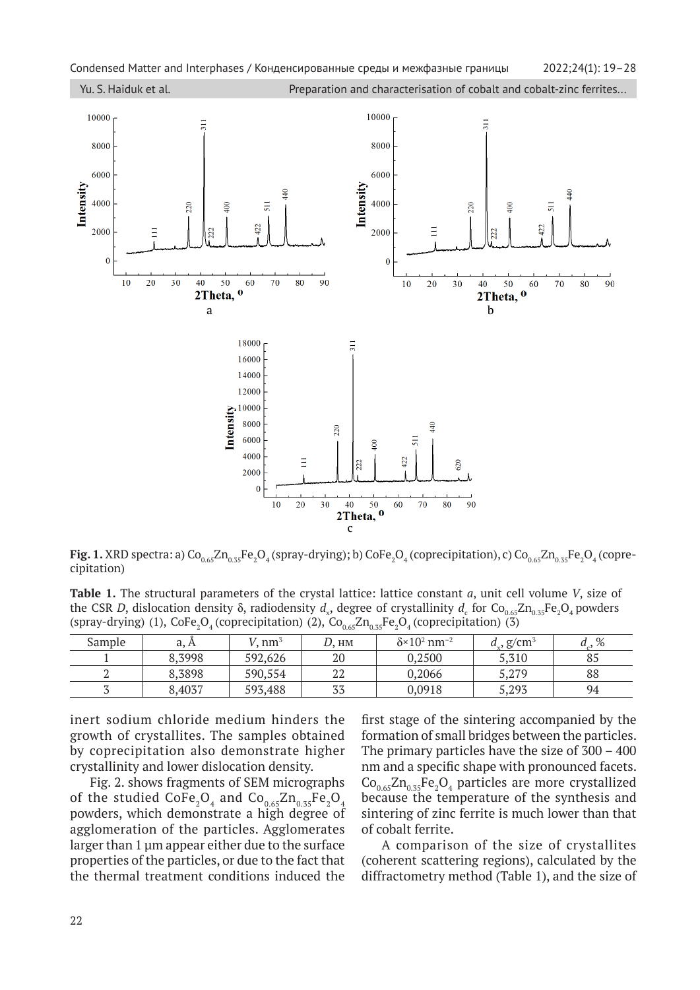

 ${\sf Fig.~1.}$  XRD spectra: a)  $\rm Co_{0.65}Zn_{0.35}Fe_2O_4$  (spray-drying); b)  $\rm CoFe_2O_4$  (coprecipitation), c)  $\rm Co_{0.65}Zn_{0.35}Fe_2O_4$  (coprecipitation)

 **Table 1.** The structural parameters of the crystal lattice: lattice constant *a*, unit cell volume *V*, size of the CSR *D*, dislocation density  $\delta$ , radiodensity  $d_x$ , degree of crystallinity  $d_c$  for Co<sub>0.65</sub>Zn<sub>0.35</sub>Fe<sub>2</sub>O<sub>4</sub> powders (spray-drying) (1),  $\text{CoFe}_2\text{O}_4$  (coprecipitation) (2),  $\text{Co}_{0.65}\text{Zn}_{0.35}\text{Fe}_2\text{O}_4$  (coprecipitation) (3)

| Sample | a, A   | $nm^3$  | HM        | $\delta$ ×10 <sup>2</sup> nm <sup>-2</sup> | $d_{\rm v}$ , g/cm <sup>3</sup> | %  |
|--------|--------|---------|-----------|--------------------------------------------|---------------------------------|----|
|        | 8,3998 | 592,626 | 20        | 0,2500                                     | 5,310                           | 85 |
|        | 8,3898 | 590,554 | ר ר<br>44 | 0,2066                                     | 5,279                           | 88 |
|        | 8.4037 | 593,488 | 77<br>აა  | 0,0918                                     | 5,293                           | 94 |

inert sodium chloride medium hinders the growth of crystallites. The samples obtained by coprecipitation also demonstrate higher crystallinity and lower dislocation density.

Fig. 2. shows fragments of SEM micrographs of the studied  $\text{CoFe}_{2}\text{O}_{4}$  and  $\text{Co}_{0.65}\text{Zn}_{0.35}\text{Fe}_{2}\text{O}_{4}$  because the temperature powders, which demonstrate a high degree of agglomeration of the particles. Agglomerates larger than 1 μm appear either due to the surface properties of the particles, or due to the fact that the thermal treatment conditions induced the

first stage of the sintering accompanied by the formation of small bridges between the particles. The primary particles have the size of 300 – 400 nm and a specific shape with pronounced facets.  $Co_{0.65}Zn_{0.35}Fe_2O_4$  particles are more crystallized because the temperature of the synthesis and sintering of zinc ferrite is much lower than that of cobalt ferrite.

A comparison of the size of crystallites (coherent scattering regions), calculated by the diffractometry method (Table 1), and the size of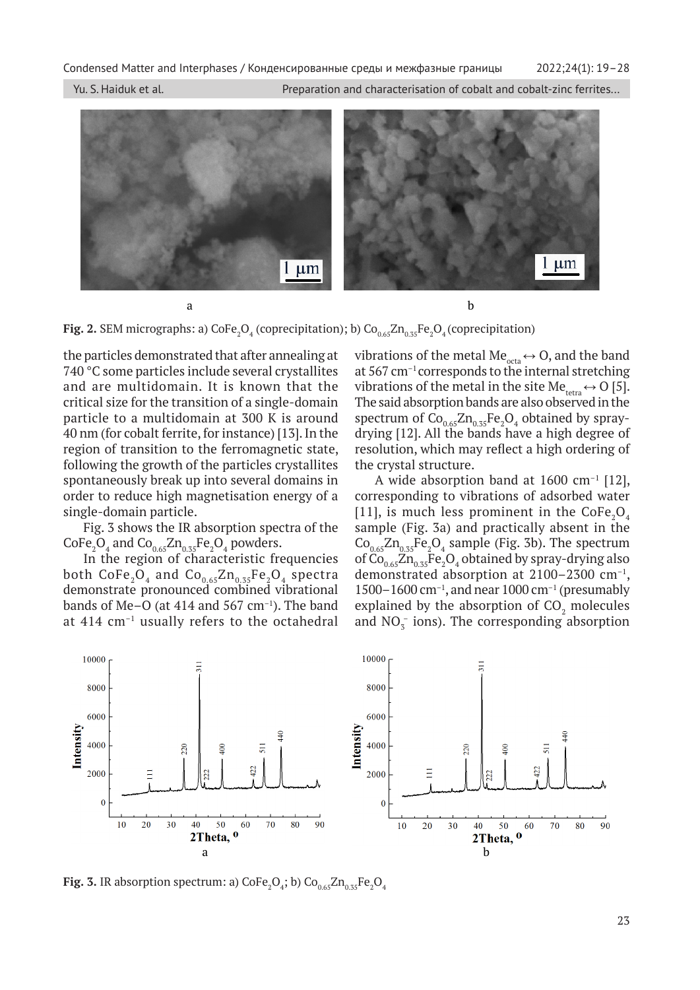Condensed Matter and Interphases / Конденсированные среды и межфазные границы 2022;24(1): 19–28

Yu. S. Haiduk et al. Preparation and characterisation of cobalt and cobalt-zinc ferrites...



**Fig. 2.** SEM micrographs: a)  $\text{CoFe}_2\text{O}_4$  (coprecipitation); b)  $\text{Co}_{0.65}\text{Zn}_{0.35}\text{Fe}_2\text{O}_4$  (coprecipitation)

the particles demonstrated that after annealing at 740 °С some particles include several crystallites and are multidomain. It is known that the critical size for the transition of a single-domain particle to a multidomain at 300 K is around 40 nm (for cobalt ferrite, for instance) [13]. In the region of transition to the ferromagnetic state, following the growth of the particles crystallites spontaneously break up into several domains in order to reduce high magnetisation energy of a single-domain particle.

Fig. 3 shows the IR absorption spectra of the  $\text{CoFe}_2\text{O}_4$  and  $\text{Co}_{0.65}\text{Zn}_{0.35}\text{Fe}_2\text{O}_4$  powders.

In the region of characteristic frequencies both  $\text{CoFe}_2\text{O}_4$  and  $\text{Co}_{0.65}\text{Zn}_{0.35}\text{Fe}_2\text{O}_4$  spectra demonstrate pronounced combined vibrational bands of Me–O (at 414 and 567 cm $^{-1}$ ). The band at 414 cm–1 usually refers to the octahedral vibrations of the metal Me<sub>octa</sub>  $\leftrightarrow$  O, and the band at 567 cm–1 corresponds to the internal stretching vibrations of the metal in the site Me<sub>tetra</sub>  $\leftrightarrow$  O [5]. The said absorption bands are also observed in the spectrum of  $Co_{0.65}Zn_{0.35}Fe_2O_4$  obtained by spraydrying [12]. All the bands have a high degree of resolution, which may reflect a high ordering of the crystal structure.

A wide absorption band at  $1600 \text{ cm}^{-1}$  [12], corresponding to vibrations of adsorbed water [11], is much less prominent in the  $\text{CoFe}_2\text{O}_4$ sample (Fig. 3a) and practically absent in the  $Co_{0.65}Zn_{0.35}Fe_2O_4$  sample (Fig. 3b). The spectrum of  $\text{Co}_{0.65}\text{Zn}_{0.35}\text{Fe}_2\text{O}_4$  obtained by spray-drying also demonstrated absorption at 2100–2300 cm–1, 1500–1600 cm<sup>-1</sup>, and near 1000 cm<sup>-1</sup> (presumably explained by the absorption of  $CO<sub>2</sub>$  molecules and  $NO_5^-$  ions). The corresponding absorption



**Fig. 3.** IR absorption spectrum: a)  $\text{CoFe}_2\text{O}_4$ ; b)  $\text{Co}_{0.65}\text{Zn}_{0.35}\text{Fe}_2\text{O}_4$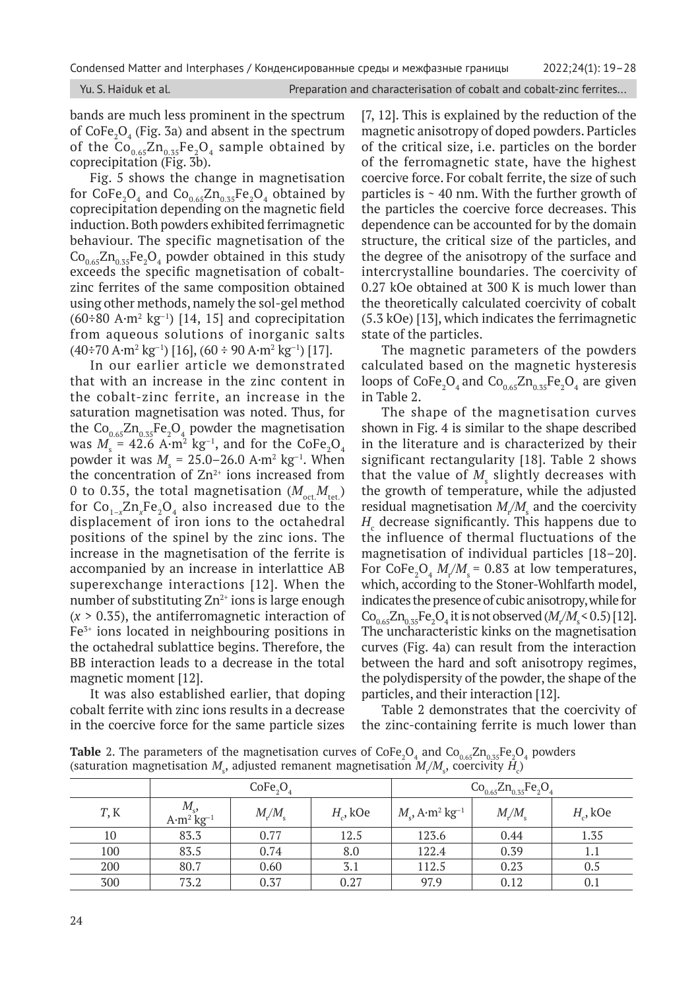|  | Yu. S. Haiduk et al. |  |
|--|----------------------|--|
|  |                      |  |

bands are much less prominent in the spectrum of  $\text{CoFe}_2\text{O}_4$  (Fig. 3a) and absent in the spectrum of the  $Co_{0.65}Zn_{0.35}Fe_2O_4$  sample obtained by coprecipitation (Fig. 3b).

Fig. 5 shows the change in magnetisation for  $\text{CoFe}_2\text{O}_4$  and  $\text{Co}_{0.65}\text{Zn}_{0.35}\text{Fe}_2\text{O}_4$  obtained by coprecipitation depending on the magnetic field induction. Both powders exhibited ferrimagnetic behaviour. The specific magnetisation of the  $\text{Co}_{0.65}\text{Zn}_{0.35}\text{Fe}_2\text{O}_4$  powder obtained in this study exceeds the specific magnetisation of cobaltzinc ferrites of the same composition obtained using other methods, namely the sol-gel method  $(60\div 80 \text{ A} \cdot \text{m}^2 \text{ kg}^{-1})$  [14, 15] and coprecipitation from aqueous solutions of inorganic salts  $(40\div 70 \text{ A} \cdot \text{m}^2 \text{ kg}^{-1})$  [16],  $(60 \div 90 \text{ A} \cdot \text{m}^2 \text{ kg}^{-1})$  [17].

In our earlier article we demonstrated that with an increase in the zinc content in the cobalt-zinc ferrite, an increase in the saturation magnetisation was noted. Thus, for the  $Co_{0.65}Zn_{0.35}Fe_2O_4$  powder the magnetisation was  $M_{\rm s}$  = 42.6 A·m $^2$  kg $^{-1}$ , and for the CoFe $_{2}$ O $_{4}$ powder it was  $M_{\rm s}$  = 25.0–26.0 A·m<sup>2</sup> kg<sup>-1</sup>. When the concentration of  $Zn^{2+}$  ions increased from 0 to 0.35, the total magnetisation  $(M_{\text{oct}}M_{\text{tot}})$ for  $Co_{1-x}Zn_xFe_2O_4$  also increased due to the displacement of iron ions to the octahedral positions of the spinel by the zinc ions. The increase in the magnetisation of the ferrite is accompanied by an increase in interlattice AB superexchange interactions [12]. When the number of substituting  $Zn^{2+}$  ions is large enough (*х* > 0.35), the antiferromagnetic interaction of  $Fe<sup>3+</sup>$  ions located in neighbouring positions in the octahedral sublattice begins. Therefore, the BB interaction leads to a decrease in the total magnetic moment [12].

It was also established earlier, that doping cobalt ferrite with zinc ions results in a decrease in the coercive force for the same particle sizes

[7, 12]. This is explained by the reduction of the magnetic anisotropy of doped powders. Particles of the critical size, i.e. particles on the border of the ferromagnetic state, have the highest coercive force. For cobalt ferrite, the size of such particles is  $\sim$  40 nm. With the further growth of the particles the coercive force decreases. This dependence can be accounted for by the domain structure, the critical size of the particles, and the degree of the anisotropy of the surface and intercrystalline boundaries. The coercivity of 0.27 kOe obtained at 300 K is much lower than the theoretically calculated coercivity of cobalt (5.3 kOe) [13], which indicates the ferrimagnetic state of the particles.

The magnetic parameters of the powders calculated based on the magnetic hysteresis loops of  $\text{CoFe}_2\text{O}_4$  and  $\text{Co}_{0.65}\text{Zn}_{0.35}\text{Fe}_2\text{O}_4$  are given in Table 2.

The shape of the magnetisation curves shown in Fig. 4 is similar to the shape described in the literature and is characterized by their significant rectangularity [18]. Table 2 shows that the value of  $M_{\rm s}$  slightly decreases with the growth of temperature, while the adjusted residual magnetisation  $M_{\rm f}/M_{\rm s}$  and the coercivity  $H_{\rm c}$  decrease significantly. This happens due to the influence of thermal fluctuations of the magnetisation of individual particles [18–20]. For  $\text{CoFe}_{2}\text{O}_{4}$   $M_{r}/M_{s}$  = 0.83 at low temperatures, which, according to the Stoner-Wohlfarth model, indicates the presence of cubic anisotropy, while for  $Co_{0.65}Zn_{0.35}Fe_2O_4$  it is not observed ( $M_r/M_s$  < 0.5) [12]. The uncharacteristic kinks on the magnetisation curves (Fig. 4a) can result from the interaction between the hard and soft anisotropy regimes, the polydispersity of the powder, the shape of the particles, and their interaction [12].

Table 2 demonstrates that the coercivity of the zinc-containing ferrite is much lower than

**Table** 2. The parameters of the magnetisation curves of  $\text{CoFe}_2\text{O}_4$  and  $\text{Co}_{0.65}\text{Zn}_{0.35}\text{Fe}_2\text{O}_4$  powders (saturation magnetisation  $M_{\rm s}$ , adjusted remanent magnetisation  $M_{\rm i}/M_{\rm s}$ , coercivity  $H_{\rm c}$ )

|      | CoFe <sub>2</sub>                              |      |             | $Co_{0.65}Zn_{0.35}Fe_2O_4$                     |                     |             |
|------|------------------------------------------------|------|-------------|-------------------------------------------------|---------------------|-------------|
| T, K | $M_{\rm _s}$<br>$A \cdot m^2$ kg <sup>-1</sup> | M/M  | $H_c$ , kOe | $M_{\rm s}$ , A·m <sup>2</sup> kg <sup>-1</sup> | $M_{\nu}/M_{\rm s}$ | $H_c$ , kOe |
| 10   | 83.3                                           | 0.77 | 12.5        | 123.6                                           | 0.44                | 1.35        |
| 100  | 83.5                                           | 0.74 | 8.0         | 122.4                                           | 0.39                | 1.1         |
| 200  | 80.7                                           | 0.60 | 3.1         | 112.5                                           | 0.23                | 0.5         |
| 300  | 73.2                                           | 0.37 | 0.27        | 97.9                                            | 0.12                | 0.1         |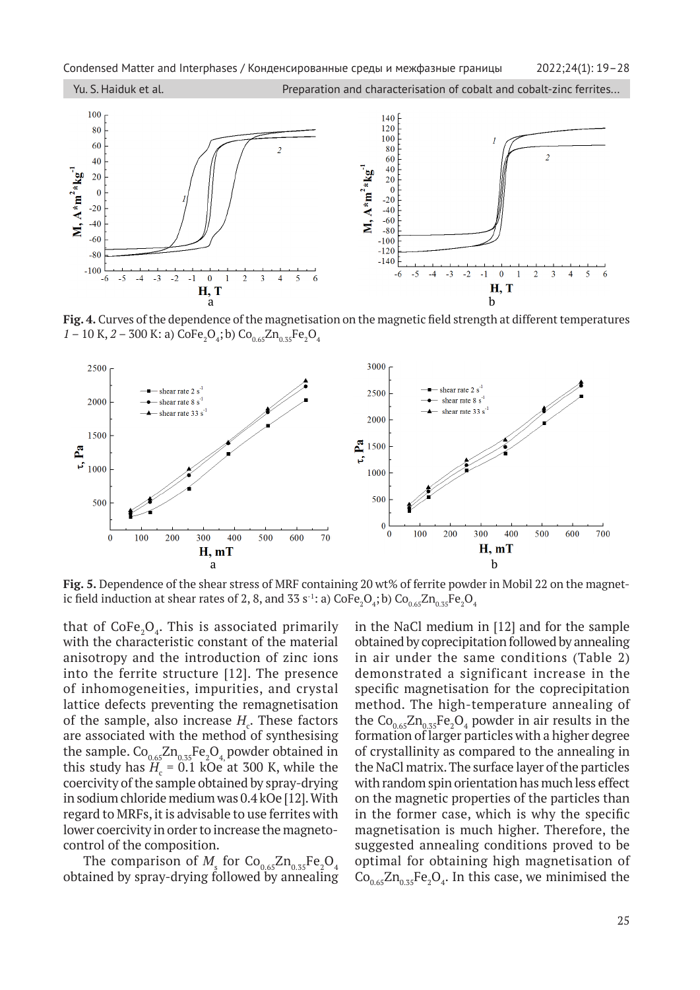

Fig. 4. Curves of the dependence of the magnetisation on the magnetic field strength at different temperatures  $1 - 10$  K,  $2 - 300$  K: a)  $\text{CoFe}_2\text{O}_4$ ; b)  $\text{Co}_{0.65}\text{Zn}_{0.35}\text{Fe}_2\text{O}_4$ 



**Fig. 5.** Dependence of the shear stress of MRF containing 20 wt% of ferrite powder in Mobil 22 on the magnetic field induction at shear rates of 2, 8, and 33 s<sup>-1</sup>: a) CoFe $_2\rm O_4$ ; b) Co $_{0.65}$ Zn $_{0.35}$ Fe $_2\rm O_4$ 

that of  $\text{CoFe}_2\text{O}_4$ . This is associated primarily with the characteristic constant of the material anisotropy and the introduction of zinc ions into the ferrite structure [12]. The presence of inhomogeneities, impurities, and crystal lattice defects preventing the remagnetisation of the sample, also increase  $H_c$ . These factors are associated with the method of synthesising the sample.  $\rm{Co}_{0.65}\rm{Zn}_{0.35}\rm{Fe}_2\rm{O}_4$  powder obtained in this study has  $H_c = 0.1$  kOe at 300 K, while the coercivity of the sample obtained by spray-drying in sodium chloride medium was 0.4 kOe [12]. With regard to MRFs, it is advisable to use ferrites with lower coercivity in order to increase the magnetocontrol of the composition.

The comparison of  $M_{\rm s}$  for  $\rm{Co}_{0.65}\rm{Zn}_{0.35}\rm{Fe}_2\rm{O}_4$ obtained by spray-drying followed by annealing in the NaCl medium in [12] and for the sample obtained by coprecipitation followed by annealing in air under the same conditions (Table 2) demonstrated a significant increase in the specific magnetisation for the coprecipitation method. The high-temperature annealing of the  $Co_{0.65}Zn_{0.35}Fe_2O_4$  powder in air results in the formation of larger particles with a higher degree of crystallinity as compared to the annealing in the NaCl matrix. The surface layer of the particles with random spin orientation has much less effect on the magnetic properties of the particles than in the former case, which is why the specific magnetisation is much higher. Therefore, the suggested annealing conditions proved to be optimal for obtaining high magnetisation of  $Co_{0.65}Zn_{0.35}Fe_2O_4$ . In this case, we minimised the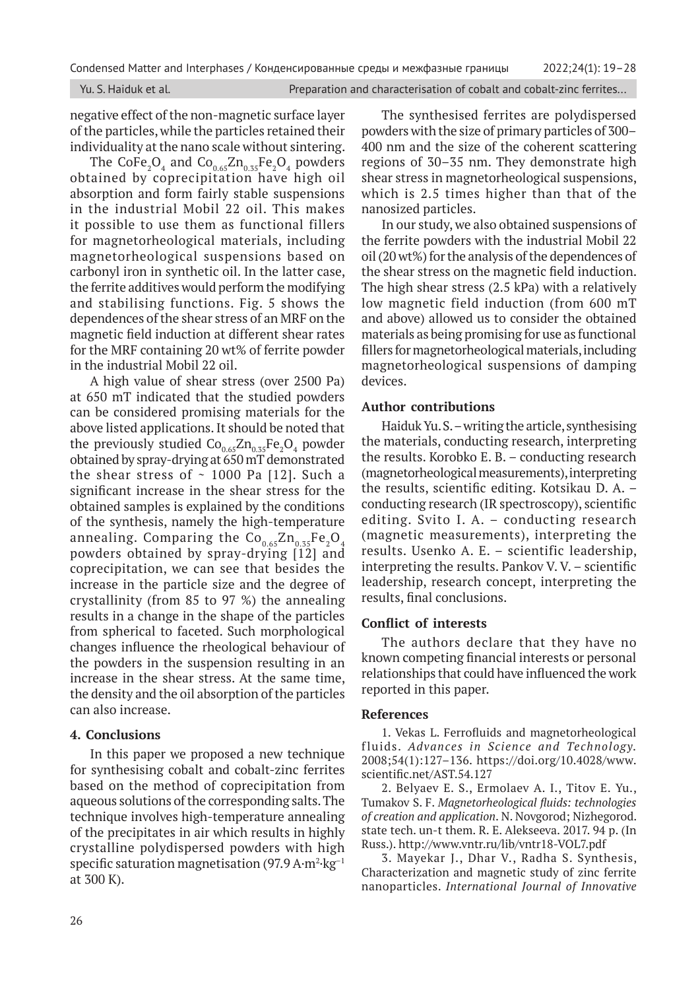Yu. S. Haiduk et al. **Preparation and characterisation of cobalt and cobalt-zinc ferrites...** 

negative effect of the non-magnetic surface layer of the particles, while the particles retained their individuality at the nano scale without sintering.

The  $\text{CoFe}_2\text{O}_4$  and  $\text{Co}_{0.65}\text{Zn}_{0.35}\text{Fe}_2\text{O}_4$  powders obtained by coprecipitation have high oil absorption and form fairly stable suspensions in the industrial Mobil 22 oil. This makes it possible to use them as functional fillers for magnetorheological materials, including magnetorheological suspensions based on carbonyl iron in synthetic oil. In the latter case, the ferrite additives would perform the modifying and stabilising functions. Fig. 5 shows the dependences of the shear stress of an MRF on the magnetic field induction at different shear rates for the MRF containing 20 wt% of ferrite powder in the industrial Mobil 22 oil.

A high value of shear stress (over 2500 Pa) at 650 mT indicated that the studied powders can be considered promising materials for the above listed applications. It should be noted that the previously studied  $\text{Co}_{0.65}\text{Zn}_{0.35}\text{Fe}_2\text{O}_4$  powder obtained by spray-drying at 650 mT demonstrated the shear stress of  $\sim$  1000 Pa [12]. Such a significant increase in the shear stress for the obtained samples is explained by the conditions of the synthesis, namely the high-temperature annealing. Comparing the  $Co_{0.65}Zn_{0.35}Fe_2O_4$ powders obtained by spray-drying [12] and coprecipitation, we can see that besides the increase in the particle size and the degree of crystallinity (from 85 to 97 %) the annealing results in a change in the shape of the particles from spherical to faceted. Such morphological changes influence the rheological behaviour of the powders in the suspension resulting in an increase in the shear stress. At the same time, the density and the oil absorption of the particles can also increase.

#### **4. Conclusions**

In this paper we proposed a new technique for synthesising cobalt and cobalt-zinc ferrites based on the method of coprecipitation from aqueous solutions of the corresponding salts. The technique involves high-temperature annealing of the precipitates in air which results in highly crystalline polydispersed powders with high specific saturation magnetisation (97.9 A $\cdot$ m $^{2}\cdot$ kg $^{-1}$ at 300 K).

The synthesised ferrites are polydispersed powders with the size of primary particles of 300– 400 nm and the size of the coherent scattering regions of 30–35 nm. They demonstrate high shear stress in magnetorheological suspensions, which is 2.5 times higher than that of the nanosized particles.

In our study, we also obtained suspensions of the ferrite powders with the industrial Mobil 22 oil (20 wt%) for the analysis of the dependences of the shear stress on the magnetic field induction. The high shear stress (2.5 kPa) with a relatively low magnetic field induction (from 600 mT and above) allowed us to consider the obtained materials as being promising for use as functional fillers for magnetorheological materials, including magnetorheological suspensions of damping devices.

### **Author contributions**

Haiduk Yu. S. – writing the article, synthesising the materials, conducting research, interpreting the results. Korobko E. В. – conducting research (magnetorheological measurements), interpreting the results, scientific editing. Kotsikau D. A. – conducting research (IR spectroscopy), scientific editing. Svito I. A. – conducting research (magnetic measurements), interpreting the results. Usenko A. E. – scientific leadership, interpreting the results. Pankov V. V. – scientific leadership, research concept, interpreting the results, final conclusions.

# **Conflict of interests**

The authors declare that they have no known competing financial interests or personal relationships that could have influenced the work reported in this paper.

#### **References**

1. Vekas L. Ferrofluids and magnetorheological fluids. *Advances in Science and Technology.* 2008;54(1):127–136. https://doi.org/10.4028/www. scientific.net/AST.54.127

2. Belyaev E. S., Ermolaev A. I., Titov E. Yu., Tumakov S. F. *Magnetorheological fluids: technologies of creation and application*. N. Novgorod; Nizhegorod. state tech. un-t them. R. E. Alekseeva. 2017. 94 p. (In Russ.). http://www.vntr.ru/lib/vntr18-VOL7.pdf

3. Mayekar J., Dhar V., Radha S. Synthesis, Characterization and magnetic study of zinc ferrite nanoparticles. *International Journal of Innovative*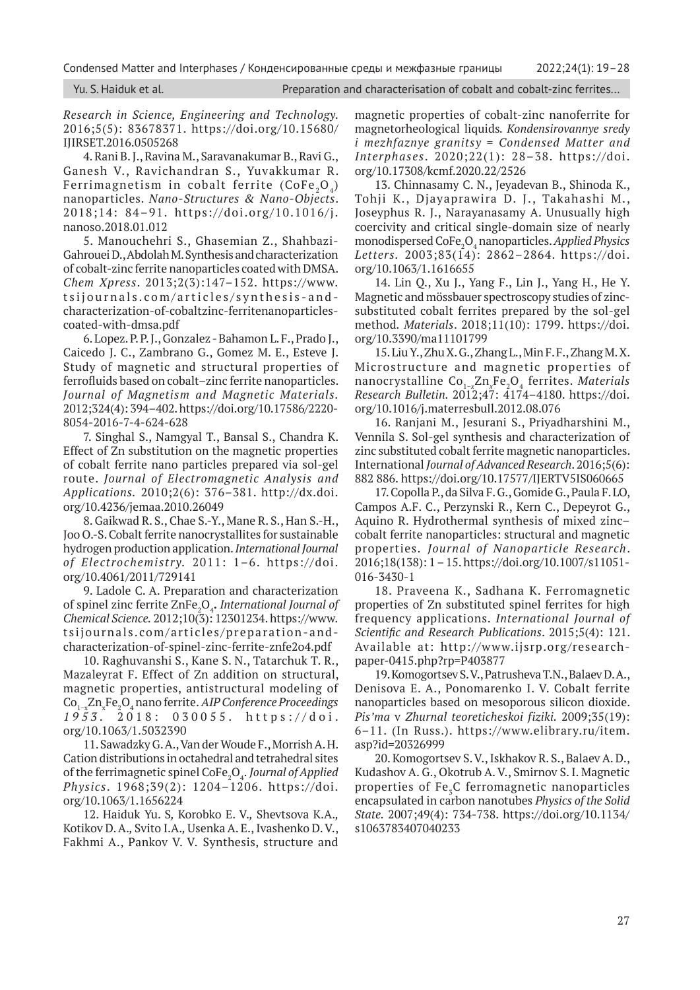Condensed Matter and Interphases / Конденсированные среды и межфазные границы 2022;24(1): 19–28

|  | Yu. S. Haiduk et al. |  |  |  |  |  |  |
|--|----------------------|--|--|--|--|--|--|
|--|----------------------|--|--|--|--|--|--|

Preparation and characterisation of cobalt and cobalt-zinc ferrites...

*Research in Science, Engineering and Technology.*  2016;5(5): 83678371. https://doi.org/10.15680/ IJIRSET.2016.0505268

4. Rani B. J., Ravina M., Saravanakumar B., Ravi G., Ganesh V., Ravichandran S., Yuvakkumar R. Ferrimagnetism in cobalt ferrite  $(CoFe, O<sub>4</sub>)$ nanoparticles. *Nano-Structures & Nano-Objects*. 2018;14: 84–91. https://doi.org/10.1016/j. nanoso.2018.01.012

5. Manouchehri S., Ghasemian Z., Shahbazi-Gahrouei D., Abdolah M. Synthesis and characterization of cobalt-zinc ferrite nanoparticles coated with DMSA. *Chem Xpress*. 2013;2(3):147–152. https://www. tsijournals.com/articles/synthesis-andcharacterization-of-cobaltzinc-ferritenanoparticlescoated-with-dmsa.pdf

6. Lopez. P. P. J., Gonzalez - Bahamon L. F., Prado J., Caicedo J. C., Zambrano G., Gomez M. E., Esteve J. Study of magnetic and structural properties of ferrofluids based on cobalt–zinc ferrite nanoparticles. *Journal of Magnetism and Magnetic Materials.* 2012;324(4): 394–402. https://doi.org/10.17586/2220- 8054-2016-7-4-624-628

7. Singhal S., Namgyal T., Bansal S., Chandra K. Effect of Zn substitution on the magnetic properties of cobalt ferrite nano particles prepared via sol-gel route. *Journal of Electromagnetic Analysis and Applications.* 2010;2(6): 376–381. http://dx.doi. org/10.4236/jemaa.2010.26049

8. Gaikwad R. S., Chae S.-Y., Mane R. S., Han S.-H., Joo O.-S. Cobalt ferrite nanocrystallites for sustainable hydrogen production application. *International Journal of Electrochemistry.* 2011: 1–6. https://doi. org/10.4061/2011/729141

9. Ladole С. A. Preparation and characterization of spinel zinc ferrite ZnFe<sub>2</sub>O<sub>4</sub>. International Journal of *Chemical Science.* 2012;10(3): 12301234. https://www. tsijournals.com/articles/preparation-andcharacterization-of-spinel-zinc-ferrite-znfe2o4.pdf

10. Raghuvanshi S., Kane S. N., Tatarchuk T. R., Mazaleyrat F. Effect of Zn addition on structural, magnetic properties, antistructural modeling of Co1−xZnx Fe<sup>2</sup> O4 nano ferrite.*AIP Conference Proceedings 1953.* 2018: 030055. https://doi. org/10.1063/1.5032390

11. Sawadzky G. A., Van der Woude F., Morrish A. H. Cation distributions in octahedral and tetrahedral sites of the ferrimagnetic spinel CoFe<sub>2</sub>O<sub>4</sub>. *Journal of Applied Physics*. 1968;39(2): 1204–1206. https://doi. org/10.1063/1.1656224

12. Haiduk Yu. S*,* Korobko E. V.*,* Shevtsova K.A.*,*  Kotikov D. A.*,* Svito I.A.*,* Usenka A. E., Ivashenko D. V., Fakhmi A., Pankov V. V. Synthesis, structure and magnetic properties of cobalt-zinc nanoferrite for magnetorheological liquids*. Kondensirovannye sredy i mezhfaznye granitsy* = *Condensed Matter and Interphases*. 2020;22(1): 28–38. https://doi. org/10.17308/kcmf.2020.22/2526

13. Chinnasamy C. N., Jeyadevan B., Shinoda K., Tohji K., Djayaprawira D. J., Takahashi M., Joseyphus R. J., Narayanasamy A. Unusually high coercivity and critical single-domain size of nearly monodispersed CoFe2 O4 nanoparticles. *Applied Physics Letters.* 2003;83(14): 2862–2864. https://doi. org/10.1063/1.1616655

14. Lin Q., Xu J., Yang F., Lin J., Yang H., He Y. Magnetic and mössbauer spectroscopy studies of zincsubstituted cobalt ferrites prepared by the sol-gel method*. Materials*. 2018;11(10): 1799. https://doi. org/10.3390/ma11101799

15. Liu Y., Zhu X. G., Zhang L., Min F. F., Zhang M. X. Microstructure and magnetic properties of nanocrystalline Co1−*<sup>x</sup>* Zn*<sup>x</sup>* Fe2O4 ferrites. *Materials Research Bulletin.* 2012;47: 4174–4180. https://doi. org/10.1016/j.materresbull.2012.08.076

16. Ranjani M., Jesurani S., Priyadharshini M., Vennila S. Sol-gel synthesis and characterization of zinc substituted cobalt ferrite magnetic nanoparticles. International *Journal of Advanced Research*. 2016;5(6): 882 886. https://doi.org/10.17577/IJERTV5IS060665

17. Copolla P., da Silva F. G., Gomide G., Paula F. LO, Campos A.F. C., Perzynski R., Kern C., Depeyrot G., Aquino R. Hydrothermal synthesis of mixed zinc– cobalt ferrite nanoparticles: structural and magnetic properties. *Journal of Nanoparticle Research*. 2016;18(138): 1 – 15. https://doi.org/10.1007/s11051- 016-3430-1

18. Praveena K., Sadhana K. Ferromagnetic properties of Zn substituted spinel ferrites for high frequency applications. *International Journal of Scientific and Research Publications*. 2015;5(4): 121. Available at: http://www.ijsrp.org/researchpaper-0415.php?rp=P403877

19. Komogortsev S. V., Patrusheva T.N., Balaev D. A., Denisova E. A., Ponomarenko I. V. Cobalt ferrite nanoparticles based on mesoporous silicon dioxide. *Pis'ma* v *Zhurnal teoreticheskoi fiziki.* 2009;35(19): 6–11. (In Russ.). https://www.elibrary.ru/item. asp?id=20326999

20. Komogortsev S. V., Iskhakov R. S., Balaev A. D., Kudashov A. G., Okotrub A. V., Smirnov S. I. Magnetic properties of Fe<sub>z</sub>C ferromagnetic nanoparticles encapsulated in carbon nanotubes *Physics of the Solid State.* 2007;49(4): 734-738. https://doi.org/10.1134/ s1063783407040233